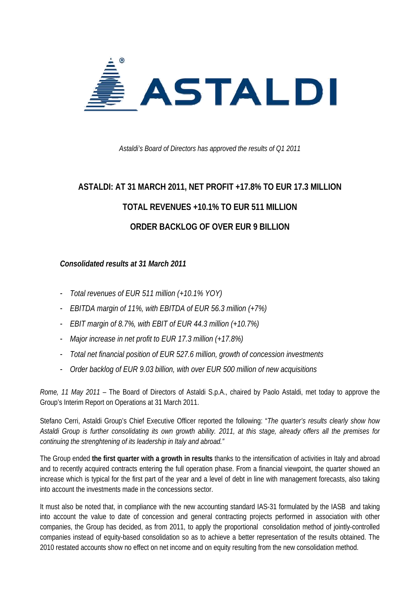

*Astaldi's Board of Directors has approved the results of Q1 2011* 

# **ASTALDI: AT 31 MARCH 2011, NET PROFIT +17.8% TO EUR 17.3 MILLION TOTAL REVENUES +10.1% TO EUR 511 MILLION ORDER BACKLOG OF OVER EUR 9 BILLION**

#### *Consolidated results at 31 March 2011*

- *Total revenues of EUR 511 million (+10.1% YOY)*
- *EBITDA margin of 11%, with EBITDA of EUR 56.3 million (+7%)*
- *EBIT margin of 8.7%, with EBIT of EUR 44.3 million (+10.7%)*
- *Major increase in net profit to EUR 17.3 million (+17.8%)*
- *Total net financial position of EUR 527.6 million, growth of concession investments*
- *Order backlog of EUR 9.03 billion, with over EUR 500 million of new acquisitions*

*Rome, 11 May 2011* – The Board of Directors of Astaldi S.p.A., chaired by Paolo Astaldi, met today to approve the Group's Interim Report on Operations at 31 March 2011.

Stefano Cerri, Astaldi Group's Chief Executive Officer reported the following: "*The quarter's results clearly show how Astaldi Group is further consolidating its own growth ability. 2011, at this stage, already offers all the premises for continuing the strenghtening of its leadership in Italy and abroad."* 

The Group ended **the first quarter with a growth in results** thanks to the intensification of activities in Italy and abroad and to recently acquired contracts entering the full operation phase. From a financial viewpoint, the quarter showed an increase which is typical for the first part of the year and a level of debt in line with management forecasts, also taking into account the investments made in the concessions sector.

It must also be noted that, in compliance with the new accounting standard IAS-31 formulated by the IASB and taking into account the value to date of concession and general contracting projects performed in association with other companies, the Group has decided, as from 2011, to apply the proportional consolidation method of jointly-controlled companies instead of equity-based consolidation so as to achieve a better representation of the results obtained. The 2010 restated accounts show no effect on net income and on equity resulting from the new consolidation method.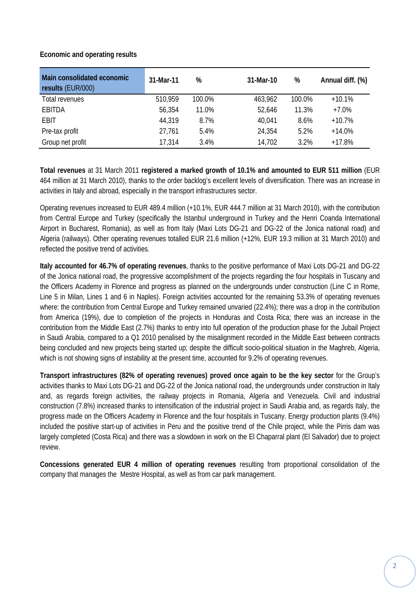#### **Economic and operating results**

| Main consolidated economic<br>results (EUR/000) | 31-Mar-11 | %      | 31-Mar-10 | %      | Annual diff. (%) |
|-------------------------------------------------|-----------|--------|-----------|--------|------------------|
| Total revenues                                  | 510,959   | 100.0% | 463,962   | 100.0% | $+10.1%$         |
| EBITDA                                          | 56,354    | 11.0%  | 52,646    | 11.3%  | $+7.0%$          |
| <b>EBIT</b>                                     | 44,319    | 8.7%   | 40,041    | 8.6%   | $+10.7%$         |
| Pre-tax profit                                  | 27,761    | 5.4%   | 24,354    | 5.2%   | $+14.0%$         |
| Group net profit                                | 17,314    | 3.4%   | 14,702    | 3.2%   | $+17.8%$         |

**Total revenues** at 31 March 2011 **registered a marked growth of 10.1% and amounted to EUR 511 million** (EUR 464 million at 31 March 2010), thanks to the order backlog's excellent levels of diversification. There was an increase in activities in Italy and abroad, especially in the transport infrastructures sector.

Operating revenues increased to EUR 489.4 million (+10.1%, EUR 444.7 million at 31 March 2010), with the contribution from Central Europe and Turkey (specifically the Istanbul underground in Turkey and the Henri Coanda International Airport in Bucharest, Romania), as well as from Italy (Maxi Lots DG-21 and DG-22 of the Jonica national road) and Algeria (railways). Other operating revenues totalled EUR 21.6 million (+12%, EUR 19.3 million at 31 March 2010) and reflected the positive trend of activities.

**Italy accounted for 46.7% of operating revenues**, thanks to the positive performance of Maxi Lots DG-21 and DG-22 of the Jonica national road, the progressive accomplishment of the projects regarding the four hospitals in Tuscany and the Officers Academy in Florence and progress as planned on the undergrounds under construction (Line C in Rome, Line 5 in Milan, Lines 1 and 6 in Naples). Foreign activities accounted for the remaining 53.3% of operating revenues where: the contribution from Central Europe and Turkey remained unvaried (22.4%); there was a drop in the contribution from America (19%), due to completion of the projects in Honduras and Costa Rica; there was an increase in the contribution from the Middle East (2.7%) thanks to entry into full operation of the production phase for the Jubail Project in Saudi Arabia, compared to a Q1 2010 penalised by the misalignment recorded in the Middle East between contracts being concluded and new projects being started up; despite the difficult socio-political situation in the Maghreb, Algeria, which is not showing signs of instability at the present time, accounted for 9.2% of operating revenues.

**Transport infrastructures (82% of operating revenues) proved once again to be the key sector** for the Group's activities thanks to Maxi Lots DG-21 and DG-22 of the Jonica national road, the undergrounds under construction in Italy and, as regards foreign activities, the railway projects in Romania, Algeria and Venezuela. Civil and industrial construction (7.8%) increased thanks to intensification of the industrial project in Saudi Arabia and, as regards Italy, the progress made on the Officers Academy in Florence and the four hospitals in Tuscany. Energy production plants (9.4%) included the positive start-up of activities in Peru and the positive trend of the Chile project, while the Pirris dam was largely completed (Costa Rica) and there was a slowdown in work on the El Chaparral plant (El Salvador) due to project review.

**Concessions generated EUR 4 million of operating revenues** resulting from proportional consolidation of the company that manages the Mestre Hospital, as well as from car park management.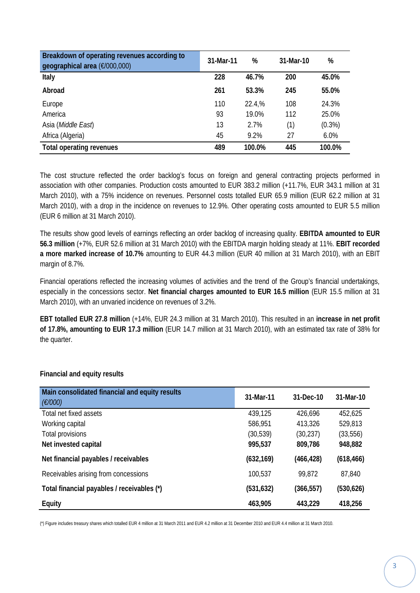| Breakdown of operating revenues according to<br>geographical area (€/000,000) | 31-Mar-11 | %      | 31-Mar-10 | %         |
|-------------------------------------------------------------------------------|-----------|--------|-----------|-----------|
| Italy                                                                         | 228       | 46.7%  | 200       | 45.0%     |
| Abroad                                                                        | 261       | 53.3%  | 245       | 55.0%     |
| Europe                                                                        | 110       | 22.4,% | 108       | 24.3%     |
| America                                                                       | 93        | 19.0%  | 112       | 25.0%     |
| Asia (Middle East)                                                            | 13        | 2.7%   | (1)       | $(0.3\%)$ |
| Africa (Algeria)                                                              | 45        | 9.2%   | 27        | 6.0%      |
| Total operating revenues                                                      | 489       | 100.0% | 445       | 100.0%    |

The cost structure reflected the order backlog's focus on foreign and general contracting projects performed in association with other companies. Production costs amounted to EUR 383.2 million (+11.7%, EUR 343.1 million at 31 March 2010), with a 75% incidence on revenues. Personnel costs totalled EUR 65.9 million (EUR 62.2 million at 31 March 2010), with a drop in the incidence on revenues to 12.9%. Other operating costs amounted to EUR 5.5 million (EUR 6 million at 31 March 2010).

The results show good levels of earnings reflecting an order backlog of increasing quality. **EBITDA amounted to EUR 56.3 million** (+7%, EUR 52.6 million at 31 March 2010) with the EBITDA margin holding steady at 11%. **EBIT recorded a more marked increase of 10.7%** amounting to EUR 44.3 million (EUR 40 million at 31 March 2010), with an EBIT margin of 8.7%.

Financial operations reflected the increasing volumes of activities and the trend of the Group's financial undertakings, especially in the concessions sector. **Net financial charges amounted to EUR 16.5 million** (EUR 15.5 million at 31 March 2010), with an unvaried incidence on revenues of 3.2%.

**EBT totalled EUR 27.8 million** (+14%, EUR 24.3 million at 31 March 2010). This resulted in an **increase in net profit of 17.8%, amounting to EUR 17.3 million** (EUR 14.7 million at 31 March 2010), with an estimated tax rate of 38% for the quarter.

| Main consolidated financial and equity results<br>$(\epsilon$ /000) | 31-Mar-11  | 31-Dec-10  | 31-Mar-10  |
|---------------------------------------------------------------------|------------|------------|------------|
| Total net fixed assets                                              | 439,125    | 426,696    | 452,625    |
| Working capital                                                     | 586,951    | 413,326    | 529,813    |
| Total provisions                                                    | (30, 539)  | (30, 237)  | (33, 556)  |
| Net invested capital                                                | 995,537    | 809,786    | 948,882    |
| Net financial payables / receivables                                | (632, 169) | (466, 428) | (618, 466) |
| Receivables arising from concessions                                | 100,537    | 99,872     | 87,840     |
| Total financial payables / receivables (*)                          | (531, 632) | (366, 557) | (530,626)  |
| Equity                                                              | 463,905    | 443,229    | 418,256    |

#### **Financial and equity results**

(\*) Figure includes treasury shares which totalled EUR 4 million at 31 March 2011 and EUR 4.2 million at 31 December 2010 and EUR 4.4 million at 31 March 2010.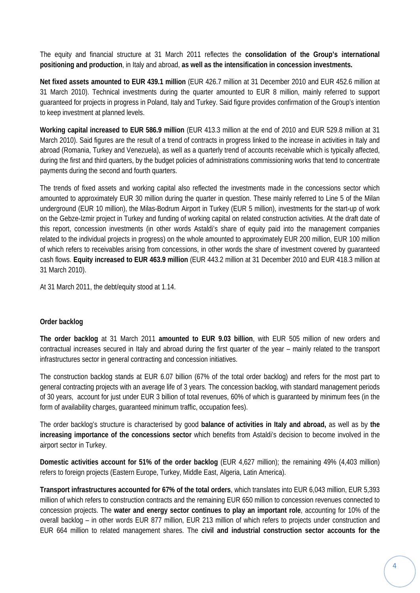The equity and financial structure at 31 March 2011 reflectes the **consolidation of the Group's international positioning and production**, in Italy and abroad, **as well as the intensification in concession investments.**

**Net fixed assets amounted to EUR 439.1 million** (EUR 426.7 million at 31 December 2010 and EUR 452.6 million at 31 March 2010). Technical investments during the quarter amounted to EUR 8 million, mainly referred to support guaranteed for projects in progress in Poland, Italy and Turkey. Said figure provides confirmation of the Group's intention to keep investment at planned levels.

**Working capital increased to EUR 586.9 million** (EUR 413.3 million at the end of 2010 and EUR 529.8 million at 31 March 2010). Said figures are the result of a trend of contracts in progress linked to the increase in activities in Italy and abroad (Romania, Turkey and Venezuela), as well as a quarterly trend of accounts receivable which is typically affected, during the first and third quarters, by the budget policies of administrations commissioning works that tend to concentrate payments during the second and fourth quarters.

The trends of fixed assets and working capital also reflected the investments made in the concessions sector which amounted to approximately EUR 30 million during the quarter in question. These mainly referred to Line 5 of the Milan underground (EUR 10 million), the Milas-Bodrum Airport in Turkey (EUR 5 million), investments for the start-up of work on the Gebze-Izmir project in Turkey and funding of working capital on related construction activities. At the draft date of this report, concession investments (in other words Astaldi's share of equity paid into the management companies related to the individual projects in progress) on the whole amounted to approximately EUR 200 million, EUR 100 million of which refers to receivables arising from concessions, in other words the share of investment covered by guaranteed cash flows. **Equity increased to EUR 463.9 million** (EUR 443.2 million at 31 December 2010 and EUR 418.3 million at 31 March 2010).

At 31 March 2011, the debt/equity stood at 1.14.

#### **Order backlog**

**The order backlog** at 31 March 2011 **amounted to EUR 9.03 billion**, with EUR 505 million of new orders and contractual increases secured in Italy and abroad during the first quarter of the year – mainly related to the transport infrastructures sector in general contracting and concession initiatives.

The construction backlog stands at EUR 6.07 billion (67% of the total order backlog) and refers for the most part to general contracting projects with an average life of 3 years. The concession backlog, with standard management periods of 30 years, account for just under EUR 3 billion of total revenues, 60% of which is guaranteed by minimum fees (in the form of availability charges, guaranteed minimum traffic, occupation fees).

The order backlog's structure is characterised by good **balance of activities in Italy and abroad,** as well as by **the increasing importance of the concessions sector** which benefits from Astaldi's decision to become involved in the airport sector in Turkey.

**Domestic activities account for 51% of the order backlog** (EUR 4,627 million); the remaining 49% (4,403 million) refers to foreign projects (Eastern Europe, Turkey, Middle East, Algeria, Latin America).

**Transport infrastructures accounted for 67% of the total orders**, which translates into EUR 6,043 million, EUR 5,393 million of which refers to construction contracts and the remaining EUR 650 million to concession revenues connected to concession projects. The **water and energy sector continues to play an important role**, accounting for 10% of the overall backlog – in other words EUR 877 million, EUR 213 million of which refers to projects under construction and EUR 664 million to related management shares. The **civil and industrial construction sector accounts for the**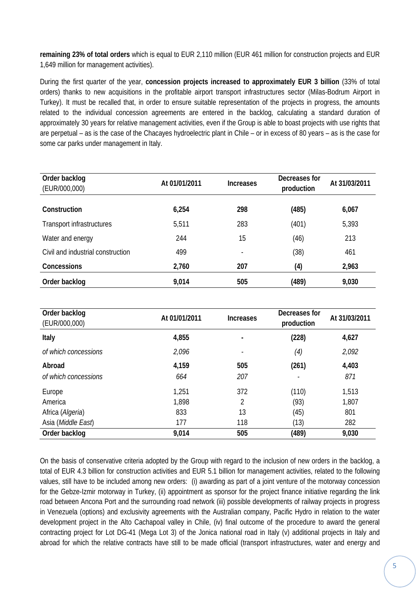**remaining 23% of total orders** which is equal to EUR 2,110 million (EUR 461 million for construction projects and EUR 1,649 million for management activities).

During the first quarter of the year, **concession projects increased to approximately EUR 3 billion** (33% of total orders) thanks to new acquisitions in the profitable airport transport infrastructures sector (Milas-Bodrum Airport in Turkey). It must be recalled that, in order to ensure suitable representation of the projects in progress, the amounts related to the individual concession agreements are entered in the backlog, calculating a standard duration of approximately 30 years for relative management activities, even if the Group is able to boast projects with use rights that are perpetual – as is the case of the Chacayes hydroelectric plant in Chile – or in excess of 80 years – as is the case for some car parks under management in Italy.

| Order backlog<br>(EUR/000,000)    | At 01/01/2011 | <b>Increases</b> | Decreases for<br>production | At 31/03/2011 |
|-----------------------------------|---------------|------------------|-----------------------------|---------------|
| Construction                      | 6,254         | 298              | (485)                       | 6,067         |
| Transport infrastructures         | 5,511         | 283              | (401)                       | 5,393         |
| Water and energy                  | 244           | 15               | (46)                        | 213           |
| Civil and industrial construction | 499           |                  | (38)                        | 461           |
| Concessions                       | 2,760         | 207              | (4)                         | 2,963         |
| Order backlog                     | 9,014         | 505              | (489)                       | 9,030         |

| Order backlog<br>(EUR/000,000) | At 01/01/2011 | <b>Increases</b> | Decreases for<br>production | At 31/03/2011 |
|--------------------------------|---------------|------------------|-----------------------------|---------------|
| Italy                          | 4,855         |                  | (228)                       | 4,627         |
| of which concessions           | 2,096         |                  | (4)                         | 2,092         |
| Abroad                         | 4,159         | 505              | (261)                       | 4,403         |
| of which concessions           | 664           | 207              |                             | 871           |
| Europe                         | 1,251         | 372              | (110)                       | 1,513         |
| America                        | 1,898         | 2                | (93)                        | 1,807         |
| Africa (Algeria)               | 833           | 13               | (45)                        | 801           |
| Asia (Middle East)             | 177           | 118              | (13)                        | 282           |
| Order backlog                  | 9,014         | 505              | (489)                       | 9,030         |

On the basis of conservative criteria adopted by the Group with regard to the inclusion of new orders in the backlog, a total of EUR 4.3 billion for construction activities and EUR 5.1 billion for management activities, related to the following values, still have to be included among new orders: (i) awarding as part of a joint venture of the motorway concession for the Gebze-Izmir motorway in Turkey, (ii) appointment as sponsor for the project finance initiative regarding the link road between Ancona Port and the surrounding road network (iii) possible developments of railway projects in progress in Venezuela (options) and exclusivity agreements with the Australian company, Pacific Hydro in relation to the water development project in the Alto Cachapoal valley in Chile, (iv) final outcome of the procedure to award the general contracting project for Lot DG-41 (Mega Lot 3) of the Jonica national road in Italy (v) additional projects in Italy and abroad for which the relative contracts have still to be made official (transport infrastructures, water and energy and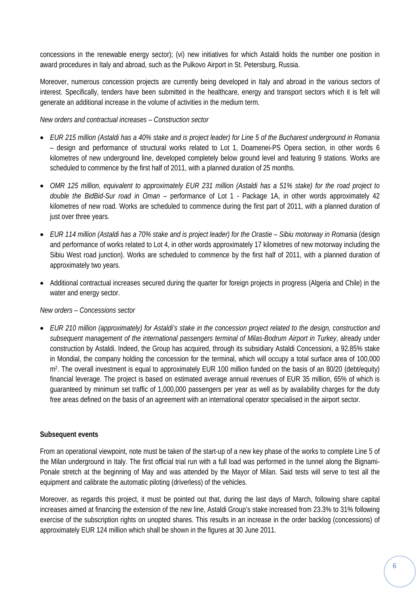concessions in the renewable energy sector); (vi) new initiatives for which Astaldi holds the number one position in award procedures in Italy and abroad, such as the Pulkovo Airport in St. Petersburg, Russia.

Moreover, numerous concession projects are currently being developed in Italy and abroad in the various sectors of interest. Specifically, tenders have been submitted in the healthcare, energy and transport sectors which it is felt will generate an additional increase in the volume of activities in the medium term.

#### *New orders and contractual increases – Construction sector*

- *EUR 215 million (Astaldi has a 40% stake and is project leader) for Line 5 of the Bucharest underground in Romania*  – design and performance of structural works related to Lot 1, Doamenei-PS Opera section, in other words 6 kilometres of new underground line, developed completely below ground level and featuring 9 stations. Works are scheduled to commence by the first half of 2011, with a planned duration of 25 months.
- *OMR 125 million, equivalent to approximately EUR 231 million (Astaldi has a 51% stake) for the road project to double the BidBid-Sur road in Oman* – performance of Lot 1 - Package 1A, in other words approximately 42 kilometres of new road. Works are scheduled to commence during the first part of 2011, with a planned duration of just over three years.
- *EUR 114 million (Astaldi has a 70% stake and is project leader) for the Orastie Sibiu motorway in Romania* (design and performance of works related to Lot 4, in other words approximately 17 kilometres of new motorway including the Sibiu West road junction). Works are scheduled to commence by the first half of 2011, with a planned duration of approximately two years.
- Additional contractual increases secured during the quarter for foreign projects in progress (Algeria and Chile) in the water and energy sector.

#### *New orders – Concessions sector*

• *EUR 210 million (approximately) for Astaldi's stake in the concession project related to the design, construction and subsequent management of the international passengers terminal of Milas-Bodrum Airport in Turkey*, already under construction by Astaldi. Indeed, the Group has acquired, through its subsidiary Astaldi Concessioni, a 92.85% stake in Mondial, the company holding the concession for the terminal, which will occupy a total surface area of 100,000 m2. The overall investment is equal to approximately EUR 100 million funded on the basis of an 80/20 (debt/equity) financial leverage. The project is based on estimated average annual revenues of EUR 35 million, 65% of which is guaranteed by minimum set traffic of 1,000,000 passengers per year as well as by availability charges for the duty free areas defined on the basis of an agreement with an international operator specialised in the airport sector.

#### **Subsequent events**

From an operational viewpoint, note must be taken of the start-up of a new key phase of the works to complete Line 5 of the Milan underground in Italy. The first official trial run with a full load was performed in the tunnel along the Bignami-Ponale stretch at the beginning of May and was attended by the Mayor of Milan. Said tests will serve to test all the equipment and calibrate the automatic piloting (driverless) of the vehicles.

Moreover, as regards this project, it must be pointed out that, during the last days of March, following share capital increases aimed at financing the extension of the new line, Astaldi Group's stake increased from 23.3% to 31% following exercise of the subscription rights on unopted shares. This results in an increase in the order backlog (concessions) of approximately EUR 124 million which shall be shown in the figures at 30 June 2011.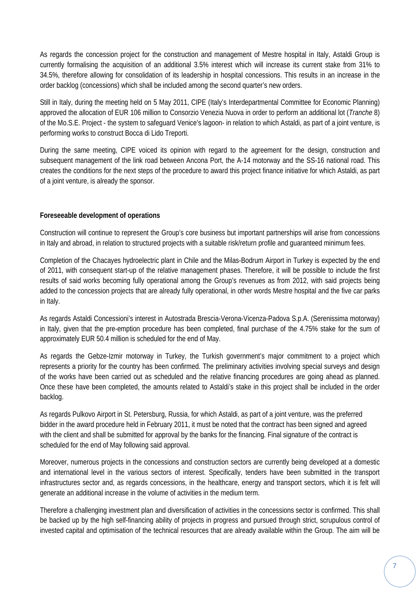As regards the concession project for the construction and management of Mestre hospital in Italy, Astaldi Group is currently formalising the acquisition of an additional 3.5% interest which will increase its current stake from 31% to 34.5%, therefore allowing for consolidation of its leadership in hospital concessions. This results in an increase in the order backlog (concessions) which shall be included among the second quarter's new orders.

Still in Italy, during the meeting held on 5 May 2011, CIPE (Italy's Interdepartmental Committee for Economic Planning) approved the allocation of EUR 106 million to Consorzio Venezia Nuova in order to perform an additional lot (*Tranche* 8) of the Mo.S.E. Project - the system to safeguard Venice's lagoon- in relation to which Astaldi, as part of a joint venture, is performing works to construct Bocca di Lido Treporti.

During the same meeting, CIPE voiced its opinion with regard to the agreement for the design, construction and subsequent management of the link road between Ancona Port, the A-14 motorway and the SS-16 national road. This creates the conditions for the next steps of the procedure to award this project finance initiative for which Astaldi, as part of a joint venture, is already the sponsor.

#### **Foreseeable development of operations**

Construction will continue to represent the Group's core business but important partnerships will arise from concessions in Italy and abroad, in relation to structured projects with a suitable risk/return profile and guaranteed minimum fees.

Completion of the Chacayes hydroelectric plant in Chile and the Milas-Bodrum Airport in Turkey is expected by the end of 2011, with consequent start-up of the relative management phases. Therefore, it will be possible to include the first results of said works becoming fully operational among the Group's revenues as from 2012, with said projects being added to the concession projects that are already fully operational, in other words Mestre hospital and the five car parks in Italy.

As regards Astaldi Concessioni's interest in Autostrada Brescia-Verona-Vicenza-Padova S.p.A. (Serenissima motorway) in Italy, given that the pre-emption procedure has been completed, final purchase of the 4.75% stake for the sum of approximately EUR 50.4 million is scheduled for the end of May.

As regards the Gebze-Izmir motorway in Turkey, the Turkish government's major commitment to a project which represents a priority for the country has been confirmed. The preliminary activities involving special surveys and design of the works have been carried out as scheduled and the relative financing procedures are going ahead as planned. Once these have been completed, the amounts related to Astaldi's stake in this project shall be included in the order backlog.

As regards Pulkovo Airport in St. Petersburg, Russia, for which Astaldi, as part of a joint venture, was the preferred bidder in the award procedure held in February 2011, it must be noted that the contract has been signed and agreed with the client and shall be submitted for approval by the banks for the financing. Final signature of the contract is scheduled for the end of May following said approval.

Moreover, numerous projects in the concessions and construction sectors are currently being developed at a domestic and international level in the various sectors of interest. Specifically, tenders have been submitted in the transport infrastructures sector and, as regards concessions, in the healthcare, energy and transport sectors, which it is felt will generate an additional increase in the volume of activities in the medium term.

Therefore a challenging investment plan and diversification of activities in the concessions sector is confirmed. This shall be backed up by the high self-financing ability of projects in progress and pursued through strict, scrupulous control of invested capital and optimisation of the technical resources that are already available within the Group. The aim will be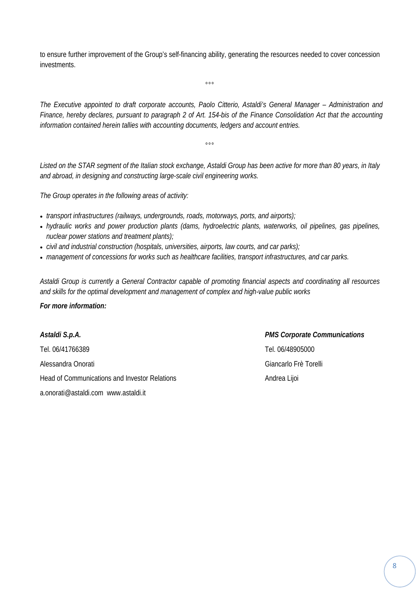to ensure further improvement of the Group's self-financing ability, generating the resources needed to cover concession investments.

 $000$ 

*The Executive appointed to draft corporate accounts, Paolo Citterio, Astaldi's General Manager – Administration and Finance, hereby declares, pursuant to paragraph 2 of Art. 154-bis of the Finance Consolidation Act that the accounting information contained herein tallies with accounting documents, ledgers and account entries.* 

*Listed on the STAR segment of the Italian stock exchange, Astaldi Group has been active for more than 80 years, in Italy and abroad, in designing and constructing large-scale civil engineering works.* 

 $000$ 

*The Group operates in the following areas of activity:* 

- *transport infrastructures (railways, undergrounds, roads, motorways, ports, and airports);*
- *hydraulic works and power production plants (dams, hydroelectric plants, waterworks, oil pipelines, gas pipelines, nuclear power stations and treatment plants);*
- *civil and industrial construction (hospitals, universities, airports, law courts, and car parks);*
- *management of concessions for works such as healthcare facilities, transport infrastructures, and car parks.*

*Astaldi Group is currently a General Contractor capable of promoting financial aspects and coordinating all resources and skills for the optimal development and management of complex and high-value public works* 

#### *For more information:*

Tel. 06/41766389 Tel. 06/48905000 Alessandra Onorati Giancarlo Frè Torelli Head of Communications and Investor Relations Andrea Lijoi a.onorati@astaldi.com www.astaldi.it

# *Astaldi S.p.A. PMS Corporate Communications*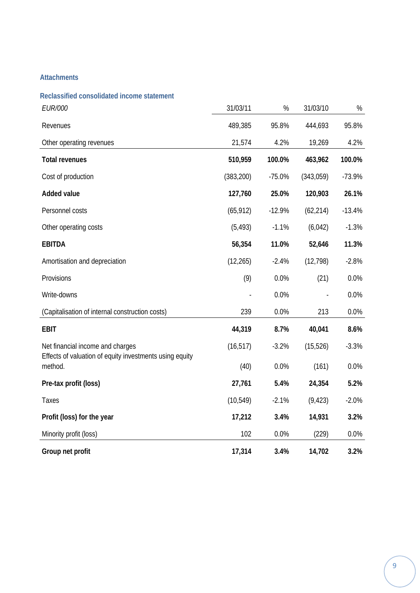#### **Attachments**

| Reclassified consolidated income statement                         |            |          |           |          |
|--------------------------------------------------------------------|------------|----------|-----------|----------|
| <b>EUR/000</b>                                                     | 31/03/11   | $\%$     | 31/03/10  | $\%$     |
| Revenues                                                           | 489,385    | 95.8%    | 444,693   | 95.8%    |
| Other operating revenues                                           | 21,574     | 4.2%     | 19,269    | 4.2%     |
| <b>Total revenues</b>                                              | 510,959    | 100.0%   | 463,962   | 100.0%   |
| Cost of production                                                 | (383, 200) | $-75.0%$ | (343,059) | $-73.9%$ |
| Added value                                                        | 127,760    | 25.0%    | 120,903   | 26.1%    |
| Personnel costs                                                    | (65, 912)  | $-12.9%$ | (62, 214) | $-13.4%$ |
| Other operating costs                                              | (5, 493)   | $-1.1%$  | (6,042)   | $-1.3%$  |
| <b>EBITDA</b>                                                      | 56,354     | 11.0%    | 52,646    | 11.3%    |
| Amortisation and depreciation                                      | (12, 265)  | $-2.4%$  | (12, 798) | $-2.8%$  |
| Provisions                                                         | (9)        | 0.0%     | (21)      | 0.0%     |
| Write-downs                                                        |            | 0.0%     |           | 0.0%     |
| (Capitalisation of internal construction costs)                    | 239        | 0.0%     | 213       | 0.0%     |
| <b>EBIT</b>                                                        | 44,319     | 8.7%     | 40,041    | 8.6%     |
| Net financial income and charges                                   | (16, 517)  | $-3.2%$  | (15, 526) | $-3.3%$  |
| Effects of valuation of equity investments using equity<br>method. | (40)       | 0.0%     | (161)     | 0.0%     |
| Pre-tax profit (loss)                                              | 27,761     | 5.4%     | 24,354    | 5.2%     |
| Taxes                                                              | (10, 549)  | $-2.1%$  | (9, 423)  | $-2.0%$  |
| Profit (loss) for the year                                         | 17,212     | 3.4%     | 14,931    | 3.2%     |
| Minority profit (loss)                                             | 102        | 0.0%     | (229)     | 0.0%     |
| Group net profit                                                   | 17,314     | 3.4%     | 14,702    | 3.2%     |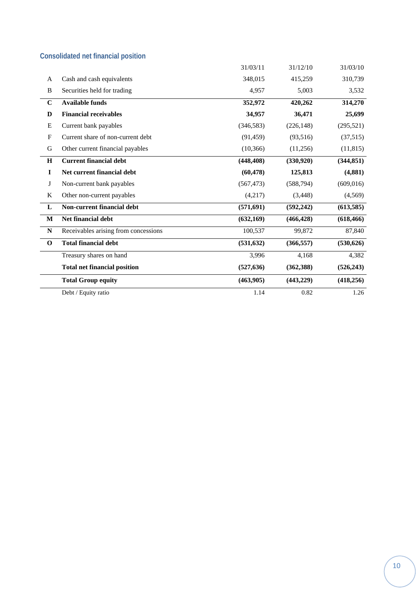## **Consolidated net financial position**

|             |                                      | 31/03/11   | 31/12/10   | 31/03/10   |
|-------------|--------------------------------------|------------|------------|------------|
| A           | Cash and cash equivalents            | 348,015    | 415,259    | 310,739    |
| B           | Securities held for trading          | 4,957      | 5,003      | 3,532      |
| $\mathbf C$ | <b>Available funds</b>               | 352,972    | 420,262    | 314,270    |
| D           | <b>Financial receivables</b>         | 34,957     | 36,471     | 25,699     |
| Ε           | Current bank payables                | (346, 583) | (226, 148) | (295, 521) |
| F           | Current share of non-current debt    | (91, 459)  | (93,516)   | (37,515)   |
| G           | Other current financial payables     | (10, 366)  | (11,256)   | (11, 815)  |
| $\bf H$     | <b>Current financial debt</b>        | (448, 408) | (330, 920) | (344, 851) |
| $\mathbf I$ | Net current financial debt           | (60, 478)  | 125,813    | (4,881)    |
| J           | Non-current bank payables            | (567, 473) | (588, 794) | (609, 016) |
| K           | Other non-current payables           | (4,217)    | (3, 448)   | (4, 569)   |
| ${\bf L}$   | Non-current financial debt           | (571, 691) | (592, 242) | (613,585)  |
| M           | Net financial debt                   | (632, 169) | (466, 428) | (618, 466) |
| ${\bf N}$   | Receivables arising from concessions | 100,537    | 99,872     | 87,840     |
| $\mathbf 0$ | <b>Total financial debt</b>          | (531, 632) | (366, 557) | (530, 626) |
|             | Treasury shares on hand              | 3,996      | 4,168      | 4,382      |
|             | <b>Total net financial position</b>  | (527, 636) | (362, 388) | (526, 243) |
|             | <b>Total Group equity</b>            | (463,905)  | (443, 229) | (418, 256) |
|             | Debt / Equity ratio                  | 1.14       | 0.82       | 1.26       |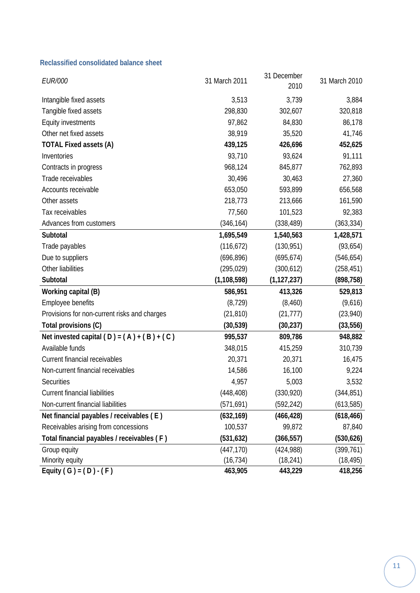#### **Reclassified consolidated balance sheet**

| <b>EUR/000</b>                               | 31 March 2011 | 31 December<br>2010 | 31 March 2010 |
|----------------------------------------------|---------------|---------------------|---------------|
| Intangible fixed assets                      | 3,513         | 3,739               | 3,884         |
| Tangible fixed assets                        | 298,830       | 302,607             | 320,818       |
| <b>Equity investments</b>                    | 97,862        | 84,830              | 86,178        |
| Other net fixed assets                       | 38,919        | 35,520              | 41,746        |
| <b>TOTAL Fixed assets (A)</b>                | 439,125       | 426,696             | 452,625       |
| Inventories                                  | 93,710        | 93,624              | 91,111        |
| Contracts in progress                        | 968,124       | 845,877             | 762,893       |
| Trade receivables                            | 30,496        | 30,463              | 27,360        |
| Accounts receivable                          | 653,050       | 593,899             | 656,568       |
| Other assets                                 | 218,773       | 213,666             | 161,590       |
| Tax receivables                              | 77,560        | 101,523             | 92,383        |
| Advances from customers                      | (346, 164)    | (338, 489)          | (363, 334)    |
| Subtotal                                     | 1,695,549     | 1,540,563           | 1,428,571     |
| Trade payables                               | (116, 672)    | (130, 951)          | (93, 654)     |
| Due to suppliers                             | (696, 896)    | (695, 674)          | (546, 654)    |
| Other liabilities                            | (295, 029)    | (300, 612)          | (258, 451)    |
| Subtotal                                     | (1, 108, 598) | (1, 127, 237)       | (898, 758)    |
| Working capital (B)                          | 586,951       | 413,326             | 529,813       |
| Employee benefits                            | (8, 729)      | (8,460)             | (9,616)       |
| Provisions for non-current risks and charges | (21, 810)     | (21, 777)           | (23, 940)     |
| Total provisions (C)                         | (30, 539)     | (30, 237)           | (33, 556)     |
| Net invested capital $(D) = (A) + (B) + (C)$ | 995,537       | 809,786             | 948,882       |
| Available funds                              | 348,015       | 415,259             | 310,739       |
| Current financial receivables                | 20,371        | 20,371              | 16,475        |
| Non-current financial receivables            | 14,586        | 16,100              | 9,224         |
| Securities                                   | 4,957         | 5,003               | 3,532         |
| <b>Current financial liabilities</b>         | (448, 408)    | (330, 920)          | (344, 851)    |
| Non-current financial liabilities            | (571, 691)    | (592, 242)          | (613, 585)    |
| Net financial payables / receivables (E)     | (632, 169)    | (466, 428)          | (618, 466)    |
| Receivables arising from concessions         | 100,537       | 99,872              | 87,840        |
| Total financial payables / receivables (F)   | (531, 632)    | (366, 557)          | (530, 626)    |
| Group equity                                 | (447, 170)    | (424, 988)          | (399, 761)    |
| Minority equity                              | (16, 734)     | (18, 241)           | (18, 495)     |
| Equity $(G) = (D) - (F)$                     | 463,905       | 443,229             | 418,256       |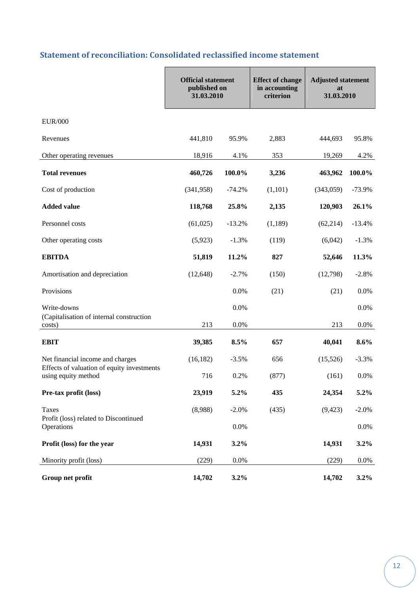## **Statement of reconciliation: Consolidated reclassified income statement**

|                                                                   | <b>Official statement</b><br>published on<br>31.03.2010 |          | <b>Effect of change</b><br>in accounting<br>criterion | <b>Adjusted statement</b><br>at<br>31.03.2010 |          |
|-------------------------------------------------------------------|---------------------------------------------------------|----------|-------------------------------------------------------|-----------------------------------------------|----------|
| <b>EUR/000</b>                                                    |                                                         |          |                                                       |                                               |          |
| Revenues                                                          | 441,810                                                 | 95.9%    | 2,883                                                 | 444,693                                       | 95.8%    |
| Other operating revenues                                          | 18,916                                                  | 4.1%     | 353                                                   | 19,269                                        | 4.2%     |
| <b>Total revenues</b>                                             | 460,726                                                 | 100.0%   | 3,236                                                 | 463,962                                       | 100.0%   |
| Cost of production                                                | (341, 958)                                              | $-74.2%$ | (1,101)                                               | (343,059)                                     | $-73.9%$ |
| <b>Added value</b>                                                | 118,768                                                 | 25.8%    | 2,135                                                 | 120,903                                       | 26.1%    |
| Personnel costs                                                   | (61,025)                                                | $-13.2%$ | (1,189)                                               | (62, 214)                                     | $-13.4%$ |
| Other operating costs                                             | (5,923)                                                 | $-1.3%$  | (119)                                                 | (6,042)                                       | $-1.3%$  |
| <b>EBITDA</b>                                                     | 51,819                                                  | 11.2%    | 827                                                   | 52,646                                        | 11.3%    |
| Amortisation and depreciation                                     | (12, 648)                                               | $-2.7%$  | (150)                                                 | (12,798)                                      | $-2.8%$  |
| Provisions                                                        |                                                         | 0.0%     | (21)                                                  | (21)                                          | 0.0%     |
| Write-downs                                                       |                                                         | 0.0%     |                                                       |                                               | 0.0%     |
| (Capitalisation of internal construction<br>costs)                | 213                                                     | 0.0%     |                                                       | 213                                           | $0.0\%$  |
| <b>EBIT</b>                                                       | 39,385                                                  | 8.5%     | 657                                                   | 40,041                                        | 8.6%     |
| Net financial income and charges                                  | (16, 182)                                               | $-3.5%$  | 656                                                   | (15,526)                                      | $-3.3%$  |
| Effects of valuation of equity investments<br>using equity method | 716                                                     | 0.2%     | (877)                                                 | (161)                                         | 0.0%     |
| Pre-tax profit (loss)                                             | 23,919                                                  | 5.2%     | 435                                                   | 24,354                                        | 5.2%     |
| <b>Taxes</b>                                                      | (8,988)                                                 | $-2.0%$  | (435)                                                 | (9, 423)                                      | $-2.0%$  |
| Profit (loss) related to Discontinued<br>Operations               |                                                         | 0.0%     |                                                       |                                               | 0.0%     |
| Profit (loss) for the year                                        | 14,931                                                  | 3.2%     |                                                       | 14,931                                        | 3.2%     |
| Minority profit (loss)                                            | (229)                                                   | 0.0%     |                                                       | (229)                                         | 0.0%     |
| Group net profit                                                  | 14,702                                                  | 3.2%     |                                                       | 14,702                                        | $3.2\%$  |